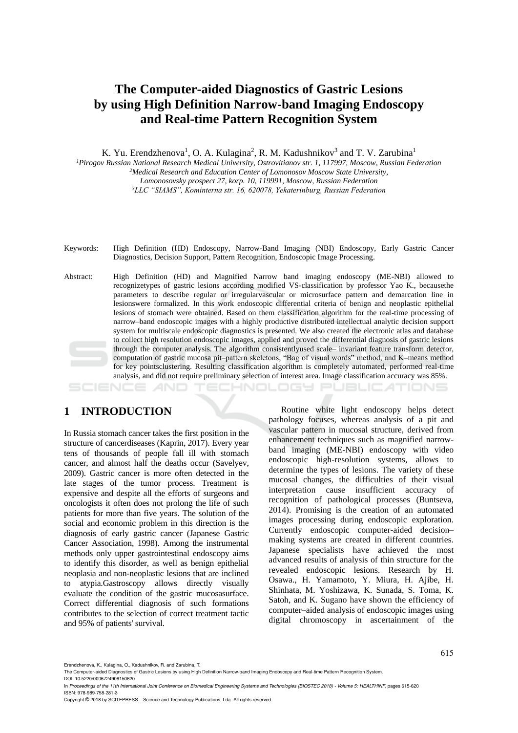# **The Computer-aided Diagnostics of Gastric Lesions by using High Definition Narrow-band Imaging Endoscopy and Real-time Pattern Recognition System**

K. Yu. Erendzhenova<sup>1</sup>, O. A. Kulagina<sup>2</sup>, R. M. Kadushnikov<sup>3</sup> and T. V. Zarubina<sup>1</sup>

*<sup>1</sup>Pirogov Russian National Research Medical University, Ostrovitianov str. 1, 117997, Moscow, Russian Federation <sup>2</sup>Medical Research and Education Center of Lomonosov Moscow State University,*

*Lomonosovsky prospect 27, korp. 10, 119991, Moscow, Russian Federation*

*<sup>3</sup>LLC "SIAMS", Kominterna str. 16, 620078, Yekaterinburg, Russian Federation*

- Keywords: High Definition (HD) Endoscopy, Narrow-Band Imaging (NBI) Endoscopy, Early Gastric Cancer Diagnostics, Decision Support, Pattern Recognition, Endoscopic Image Processing.
- Abstract: High Definition (HD) and Magnified Narrow band imaging endoscopy (ME-NBI) allowed to recognizetypes of gastric lesions according modified VS-classification by professor Yao K., becausethe parameters to describe regular or irregularvascular or microsurface pattern and demarcation line in lesionswere formalized. In this work endoscopic differential criteria of benign and neoplastic epithelial lesions of stomach were obtained. Based on them classification algorithm for the real-time processing of narrow–band endoscopic images with a highly productive distributed intellectual analytic decision support system for multiscale endoscopic diagnostics is presented. We also created the electronic atlas and database to collect high resolution endoscopic images, applied and proved the differential diagnosis of gastric lesions through the computer analysis. The algorithm consistentlyused scale– invariant feature transform detector, computation of gastric mucosa pit–pattern skeletons, "Bag of visual words" method, and K–means method for key pointsclustering. Resulting classification algorithm is completely automated, performed real-time analysis, and did not require preliminary selection of interest area. Image classification accuracy was 85%.

## **1 INTRODUCTION**

In Russia stomach cancer takes the first position in the structure of cancerdiseases (Kaprin, 2017). Every year tens of thousands of people fall ill with stomach cancer, and almost half the deaths occur (Savelyev, 2009). Gastric cancer is more often detected in the late stages of the tumor process. Treatment is expensive and despite all the efforts of surgeons and oncologists it often does not prolong the life of such patients for more than five years. The solution of the social and economic problem in this direction is the diagnosis of early gastric cancer (Japanese Gastric Cancer Association, 1998). Among the instrumental methods only upper gastrointestinal endoscopy aims to identify this disorder, as well as benign epithelial neoplasia and non-neoplastic lesions that are inclined to atypia.Gastroscopy allows directly visually evaluate the condition of the gastric mucosasurface. Correct differential diagnosis of such formations contributes to the selection of correct treatment tactic and 95% of patients' survival.

Routine white light endoscopy helps detect pathology focuses, whereas analysis of a pit and vascular pattern in mucosal structure, derived from enhancement techniques such as magnified narrowband imaging (ME-NBI) endoscopy with video endoscopic high-resolution systems, allows to determine the types of lesions. The variety of these mucosal changes, the difficulties of their visual interpretation cause insufficient accuracy of recognition of pathological processes (Buntseva, 2014). Promising is the creation of an automated images processing during endoscopic exploration. Currently endoscopic computer-aided decision– making systems are created in different countries. Japanese specialists have achieved the most advanced results of analysis of thin structure for the revealed endoscopic lesions. Research by H. Osawa., H. Yamamoto, Y. Miura, H. Ajibe, H. Shinhata, M. Yoshizawa, K. Sunada, S. Toma, K. Satoh, and K. Sugano have shown the efficiency of computer–aided analysis of endoscopic images using digital chromoscopy in ascertainment of the

HNOLOGY PUBLIC ATIONS

Copyright © 2018 by SCITEPRESS – Science and Technology Publications, Lda. All rights reserved

Erendzhenova, K., Kulagina, O., Kadushnikov, R. and Zarubina, T.

The Computer-aided Diagnostics of Gastric Lesions by using High Definition Narrow-band Imaging Endoscopy and Real-time Pattern Recognition System. DOI: 10.5220/0006724906150620

In *Proceedings of the 11th International Joint Conference on Biomedical Engineering Systems and Technologies (BIOSTEC 2018) - Volume 5: HEALTHINF*, pages 615-620 ISBN: 978-989-758-281-3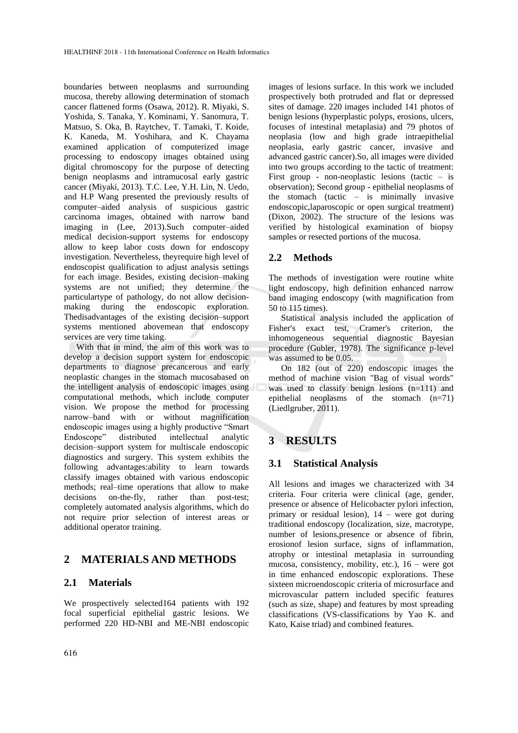boundaries between neoplasms and surrounding mucosa, thereby allowing determination of stomach cancer flattened forms (Osawa, 2012). R. Miyaki, S. Yoshida, S. Tanaka, Y. Kominami, Y. Sanomura, T. Matsuo, S. Oka, B. Raytchev, T. Tamaki, T. Koide, K. Kaneda, M. Yoshihara, and K. Chayama examined application of computerized image processing to endoscopy images obtained using digital chromoscopy for the purpose of detecting benign neoplasms and intramucosal early gastric cancer (Miyaki, 2013). T.C. Lee, Y.H. Lin, N. Uedo, and H.P Wang presented the previously results of computer–aided analysis of suspicious gastric carcinoma images, obtained with narrow band imaging in (Lee, 2013).Such computer–aided medical decision-support systems for endoscopy allow to keep labor costs down for endoscopy investigation. Nevertheless, theyrequire high level of endoscopist qualification to adjust analysis settings for each image. Besides, existing decision–making systems are not unified; they determine the particulartype of pathology, do not allow decisionmaking during the endoscopic exploration. Thedisadvantages of the existing decision–support systems mentioned abovemean that endoscopy services are very time taking.

With that in mind, the aim of this work was to develop a decision support system for endoscopic departments to diagnose precancerous and early neoplastic changes in the stomach mucosabased on the intelligent analysis of endoscopic images using computational methods, which include computer vision. We propose the method for processing narrow–band with or without magnification endoscopic images using a highly productive "Smart Endoscope" distributed intellectual analytic decision–support system for multiscale endoscopic diagnostics and surgery. This system exhibits the following advantages:ability to learn towards classify images obtained with various endoscopic methods; real–time operations that allow to make decisions on-the-fly, rather than post-test; completely automated analysis algorithms, which do not require prior selection of interest areas or additional operator training.

### **2 MATERIALS AND METHODS**

#### **2.1 Materials**

We prospectively selected164 patients with 192 focal superficial epithelial gastric lesions. We performed 220 HD-NBI and ME-NBI endoscopic

images of lesions surface. In this work we included prospectively both protruded and flat or depressed sites of damage. 220 images included 141 photos of benign lesions (hyperplastic polyps, erosions, ulcers, focuses of intestinal metaplasia) and 79 photos of neoplasia (low and high grade intraepithelial neoplasia, early gastric cancer, invasive and advanced gastric cancer).So, all images were divided into two groups according to the tactic of treatment: First group - non-neoplastic lesions (tactic  $-$  is observation); Second group - epithelial neoplasms of the stomach (tactic  $-$  is minimally invasive endoscopic,laparoscopic or open surgical treatment) (Dixon, 2002). The structure of the lesions was verified by histological examination of biopsy samples or resected portions of the mucosa.

#### **2.2 Methods**

The methods of investigation were routine white light endoscopy, high definition enhanced narrow band imaging endoscopy (with magnification from 50 to 115 times).

Statistical analysis included the application of Fisher's exact test, Cramer's criterion, the inhomogeneous sequential diagnostic Bayesian procedure (Gubler, 1978). The significance p-level was assumed to be 0.05.

On 182 (out of 220) endoscopic images the method of machine vision "Bag of visual words" was used to classify benign lesions (n=111) and epithelial neoplasms of the stomach (n=71) (Liedlgruber, 2011).

## **3 RESULTS**

#### **3.1 Statistical Analysis**

All lesions and images we characterized with 34 criteria. Four criteria were clinical (age, gender, presence or absence of Helicobacter pylori infection, primary or residual lesion), 14 – were got during traditional endoscopy (localization, size, macrotype, number of lesions,presence or absence of fibrin, erosionof lesion surface, signs of inflammation, atrophy or intestinal metaplasia in surrounding mucosa, consistency, mobility, etc.), 16 – were got in time enhanced endoscopic explorations. These sixteen microendoscopic criteria of microsurface and microvascular pattern included specific features (such as size, shape) and features by most spreading classifications (VS-classifications by Yao K. and Kato, Kaise triad) and combined features.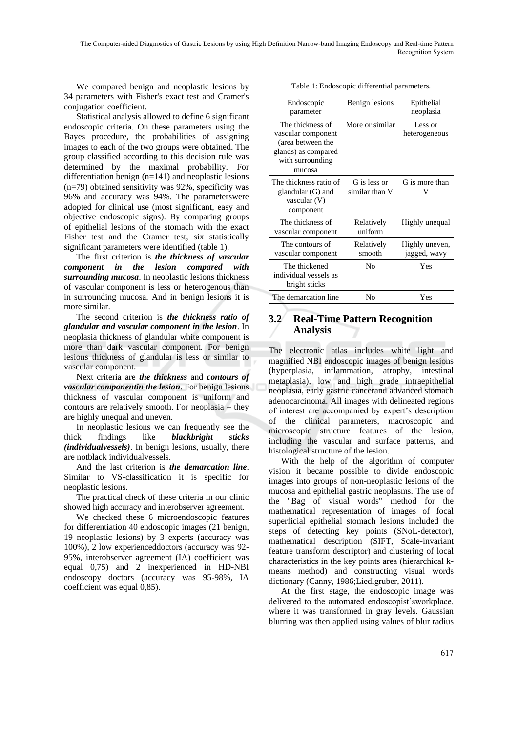We compared benign and neoplastic lesions by 34 parameters with Fisher's exact test and Cramer's conjugation coefficient.

Statistical analysis allowed to define 6 significant endoscopic criteria. On these parameters using the Bayes procedure, the probabilities of assigning images to each of the two groups were obtained. The group classified according to this decision rule was determined by the maximal probability. For differentiation benign (n=141) and neoplastic lesions (n=79) obtained sensitivity was 92%, specificity was 96% and accuracy was 94%. The parameterswere adopted for clinical use (most significant, easy and objective endoscopic signs). By comparing groups of epithelial lesions of the stomach with the exact Fisher test and the Cramer test, six statistically significant parameters were identified (table 1).

The first criterion is *the thickness of vascular component in the lesion compared with surrounding mucosa*. In neoplastic lesions thickness of vascular component is less or heterogenous than in surrounding mucosa. And in benign lesions it is more similar.

The second criterion is *the thickness ratio of glandular and vascular component in the lesion*. In neoplasia thickness of glandular white component is more than dark vascular component. For benign lesions thickness of glandular is less or similar to vascular component.

Next criteria are *the thickness* and *contours of vascular componentin the lesion*. For benign lesions thickness of vascular component is uniform and contours are relatively smooth. For neoplasia – they are highly unequal and uneven.

In neoplastic lesions we can frequently see the thick findings like *blackbright sticks (individualvessels)*. In benign lesions, usually, there are notblack individualvessels.

And the last criterion is *the demarcation line*. Similar to VS-classification it is specific for neoplastic lesions.

The practical check of these criteria in our clinic showed high accuracy and interobserver agreement.

We checked these 6 microendoscopic features for differentiation 40 endoscopic images (21 benign, 19 neoplastic lesions) by 3 experts (accuracy was 100%), 2 low experienceddoctors (accuracy was 92- 95%, interobserver agreement (IA) coefficient was equal 0,75) and 2 inexperienced in HD-NBI endoscopy doctors (accuracy was 95-98%, IA coefficient was equal 0,85).

| Endoscopic<br>parameter                                                                                          | Benign lesions                 | Epithelial<br>neoplasia        |
|------------------------------------------------------------------------------------------------------------------|--------------------------------|--------------------------------|
| The thickness of<br>vascular component<br>(area between the<br>glands) as compared<br>with surrounding<br>mucosa | More or similar                | Less or<br>heterogeneous       |
| The thickness ratio of<br>glandular (G) and<br>vascular (V)<br>component                                         | G is less or<br>similar than V | G is more than                 |
| The thickness of<br>vascular component                                                                           | Relatively<br>uniform          | Highly unequal                 |
| The contours of<br>vascular component                                                                            | Relatively<br>smooth           | Highly uneven,<br>jagged, wavy |
| The thickened<br>individual vessels as<br>bright sticks                                                          | No                             | Yes                            |
| The demarcation line                                                                                             | No                             | Yes                            |

Table 1: Endoscopic differential parameters.

### **3.2 Real-Time Pattern Recognition Analysis**

The electronic atlas includes white light and magnified NBI endoscopic images of benign lesions (hyperplasia, inflammation, atrophy, intestinal metaplasia), low and high grade intraepithelial neoplasia, early gastric cancerand advanced stomach adenocarcinoma. All images with delineated regions of interest are accompanied by expert's description of the clinical parameters, macroscopic and microscopic structure features of the lesion, including the vascular and surface patterns, and histological structure of the lesion.

With the help of the algorithm of computer vision it became possible to divide endoscopic images into groups of non-neoplastic lesions of the mucosa and epithelial gastric neoplasms. The use of the "Bag of visual words" method for the mathematical representation of images of focal superficial epithelial stomach lesions included the steps of detecting key points (SNoL-detector), mathematical description (SIFT, Scale-invariant feature transform descriptor) and clustering of local characteristics in the key points area (hierarchical kmeans method) and constructing visual words dictionary (Canny, 1986;Liedlgruber, 2011).

At the first stage, the endoscopic image was delivered to the automated endoscopist'sworkplace, where it was transformed in gray levels. Gaussian blurring was then applied using values of blur radius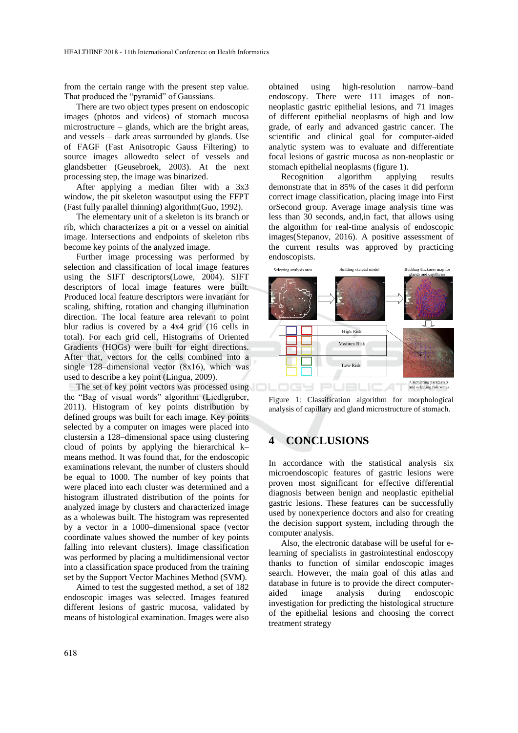from the certain range with the present step value. That produced the "pyramid" of Gaussians.

There are two object types present on endoscopic images (photos and videos) of stomach mucosa microstructure – glands, which are the bright areas, and vessels – dark areas surrounded by glands. Use of FAGF (Fast Anisotropic Gauss Filtering) to source images allowedto select of vessels and glandsbetter (Geusebroek, 2003). At the next processing step, the image was binarized.

After applying a median filter with a 3x3 window, the pit skeleton wasoutput using the FFPT (Fast fully parallel thinning) algorithm(Guo, 1992).

The elementary unit of a skeleton is its branch or rib, which characterizes a pit or a vessel on ainitial image. Intersections and endpoints of skeleton ribs become key points of the analyzed image.

Further image processing was performed by selection and classification of local image features using the SIFT descriptors(Lowe, 2004). SIFT descriptors of local image features were built. Produced local feature descriptors were invariant for scaling, shifting, rotation and changing illumination direction. The local feature area relevant to point blur radius is covered by a 4x4 grid (16 cells in total). For each grid cell, Histograms of Oriented Gradients (HOGs) were built for eight directions. After that, vectors for the cells combined into a single 128–dimensional vector (8х16), which was used to describe a key point (Lingua, 2009).

The set of key point vectors was processed using the "Bag of visual words" algorithm (Liedlgruber, 2011). Histogram of key points distribution by defined groups was built for each image. Key points selected by a computer on images were placed into clustersin a 128–dimensional space using clustering cloud of points by applying the hierarchical k– means method. It was found that, for the endoscopic examinations relevant, the number of clusters should be equal to 1000. The number of key points that were placed into each cluster was determined and a histogram illustrated distribution of the points for analyzed image by clusters and characterized image as a wholewas built. The histogram was represented by a vector in a 1000–dimensional space (vector coordinate values showed the number of key points falling into relevant clusters). Image classification was performed by placing a multidimensional vector into a classification space produced from the training set by the Support Vector Machines Method (SVM).

Aimed to test the suggested method, a set of 182 endoscopic images was selected. Images featured different lesions of gastric mucosa, validated by means of histological examination. Images were also

obtained using high-resolution narrow–band endoscopy. There were 111 images of nonneoplastic gastric epithelial lesions, and 71 images of different epithelial neoplasms of high and low grade, of early and advanced gastric cancer. The scientific and clinical goal for computer-aided analytic system was to evaluate and differentiate focal lesions of gastric mucosa as non-neoplastic or stomach epithelial neoplasms (figure 1).

Recognition algorithm applying results demonstrate that in 85% of the cases it did perform correct image classification, placing image into First orSecond group. Average image analysis time was less than 30 seconds, and,in fact, that allows using the algorithm for real-time analysis of endoscopic images(Stepanov, 2016). A positive assessment of the current results was approved by practicing endoscopists.



Figure 1: Classification algorithm for morphological analysis of capillary and gland microstructure of stomach.

## **4 CONCLUSIONS**

In accordance with the statistical analysis six microendoscopic features of gastric lesions were proven most significant for effective differential diagnosis between benign and neoplastic epithelial gastric lesions. These features can be successfully used by nonexperience doctors and also for creating the decision support system, including through the computer analysis.

Also, the electronic database will be useful for elearning of specialists in gastrointestinal endoscopy thanks to function of similar endoscopic images search. However, the main goal of this atlas and database in future is to provide the direct computeraided image analysis during endoscopic investigation for predicting the histological structure of the epithelial lesions and choosing the correct treatment strategy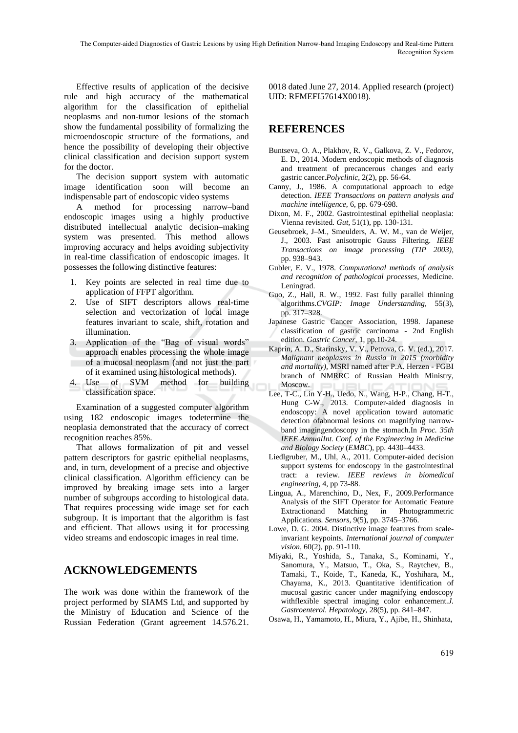Effective results of application of the decisive rule and high accuracy of the mathematical algorithm for the classification of epithelial neoplasms and non-tumor lesions of the stomach show the fundamental possibility of formalizing the microendoscopic structure of the formations, and hence the possibility of developing their objective clinical classification and decision support system for the doctor.

The decision support system with automatic image identification soon will become an indispensable part of endoscopic video systems

A method for processing narrow–band endoscopic images using a highly productive distributed intellectual analytic decision–making system was presented. This method allows improving accuracy and helps avoiding subjectivity in real-time classification of endoscopic images. It possesses the following distinctive features:

- 1. Key points are selected in real time due to application of FFPT algorithm.
- 2. Use of SIFT descriptors allows real-time selection and vectorization of local image features invariant to scale, shift, rotation and illumination.
- 3. Application of the "Bag of visual words" approach enables processing the whole image of a mucosal neoplasm (and not just the part of it examined using histological methods).
- 4. Use of SVM method for building classification space.

Examination of a suggested computer algorithm using 182 endoscopic images todetermine the neoplasia demonstrated that the accuracy of correct recognition reaches 85%.

That allows formalization of pit and vessel pattern descriptors for gastric epithelial neoplasms, and, in turn, development of a precise and objective clinical classification. Algorithm efficiency can be improved by breaking image sets into a larger number of subgroups according to histological data. That requires processing wide image set for each subgroup. It is important that the algorithm is fast and efficient. That allows using it for processing video streams and endoscopic images in real time.

## **ACKNOWLEDGEMENTS**

The work was done within the framework of the project performed by SIAMS Ltd, and supported by the Ministry of Education and Science of the Russian Federation (Grant agreement 14.576.21.

0018 dated June 27, 2014. Applied research (project) UID: RFMEFI57614X0018).

# **REFERENCES**

- Buntseva, O. A., Plakhov, R. V., Galkova, Z. V., Fedorov, E. D., 2014. Modern endoscopic methods of diagnosis and treatment of precancerous changes and early gastric cancer.*Polyclinic*, 2(2), pp. 56-64.
- Canny, J., 1986. A computational approach to edge detection. *IEEE Transactions on pattern analysis and machine intelligence,* 6, pp. 679-698.
- Dixon, M. F., 2002. Gastrointestinal epithelial neoplasia: Vienna revisited. *Gut,* 51(1), pp. 130-131.
- Geusebroek, J–M., Smeulders, A. W. M., van de Weijer, J., 2003. Fast anisotropic Gauss Filtering. *IEEE Transactions on image processing (TIP 2003)*, pp. 938–943.
- Gubler, E. V., 1978. *Computational methods of analysis and recognition of pathological processes*, Medicine. Leningrad.
- Guo, Z., Hall, R. W., 1992. Fast fully parallel thinning algorithms.*CVGIP: Image Understanding,* 55(3), pp. 317–328.
- Japanese Gastric Cancer Association, 1998. Japanese classification of gastric carcinoma - 2nd English edition. *Gastric Cancer*, 1, pp.10-24.
- Kaprin, A. D., Starinsky, V. V., Petrova, G. V. (ed.), 2017. *Malignant neoplasms in Russia in 2015 (morbidity and mortality),* MSRI named after P.A. Herzen - FGBI branch of NMRRC of Russian Health Ministry, Moscow.
- Lee, T-C., Lin Y-H., Uedo, N., Wang, H-P., Chang, H-T., Hung C-W., 2013. Computer-aided diagnosis in endoscopy: A novel application toward automatic detection ofabnormal lesions on magnifying narrowband imagingendoscopy in the stomach.In *Proc. 35th IEEE AnnualInt. Conf. of the Engineering in Medicine and Biology Society* (*EMBC*), pp. 4430–4433.
- Liedlgruber, M., Uhl, A., 2011. Computer-aided decision support systems for endoscopy in the gastrointestinal tract: a review. *IEEE reviews in biomedical engineering,* 4, pp 73-88.
- Lingua, A., Marenchino, D., Nex, F., 2009.Performance Analysis of the SIFT Operator for Automatic Feature Extractionand Matching in Photogrammetric Applications. *Sensors*, 9(5), pp. 3745–3766.
- Lowe, D. G. 2004. Distinctive image features from scaleinvariant keypoints. *International journal of computer vision,* 60(2), pp. 91-110.
- Miyaki, R., Yoshida, S., Tanaka, S., Kominami, Y., Sanomura, Y., Matsuo, T., Oka, S., Raytchev, B., Tamaki, T., Koide, T., Kaneda, K., Yoshihara, M., Chayama, K., 2013. Quantitative identification of mucosal gastric cancer under magnifying endoscopy withflexible spectral imaging color enhancement.*J. Gastroenterol. Hepatology,* 28(5), pp. 841–847.
- Osawa, H., Yamamoto, H., Miura, Y., Ajibe, H., Shinhata,